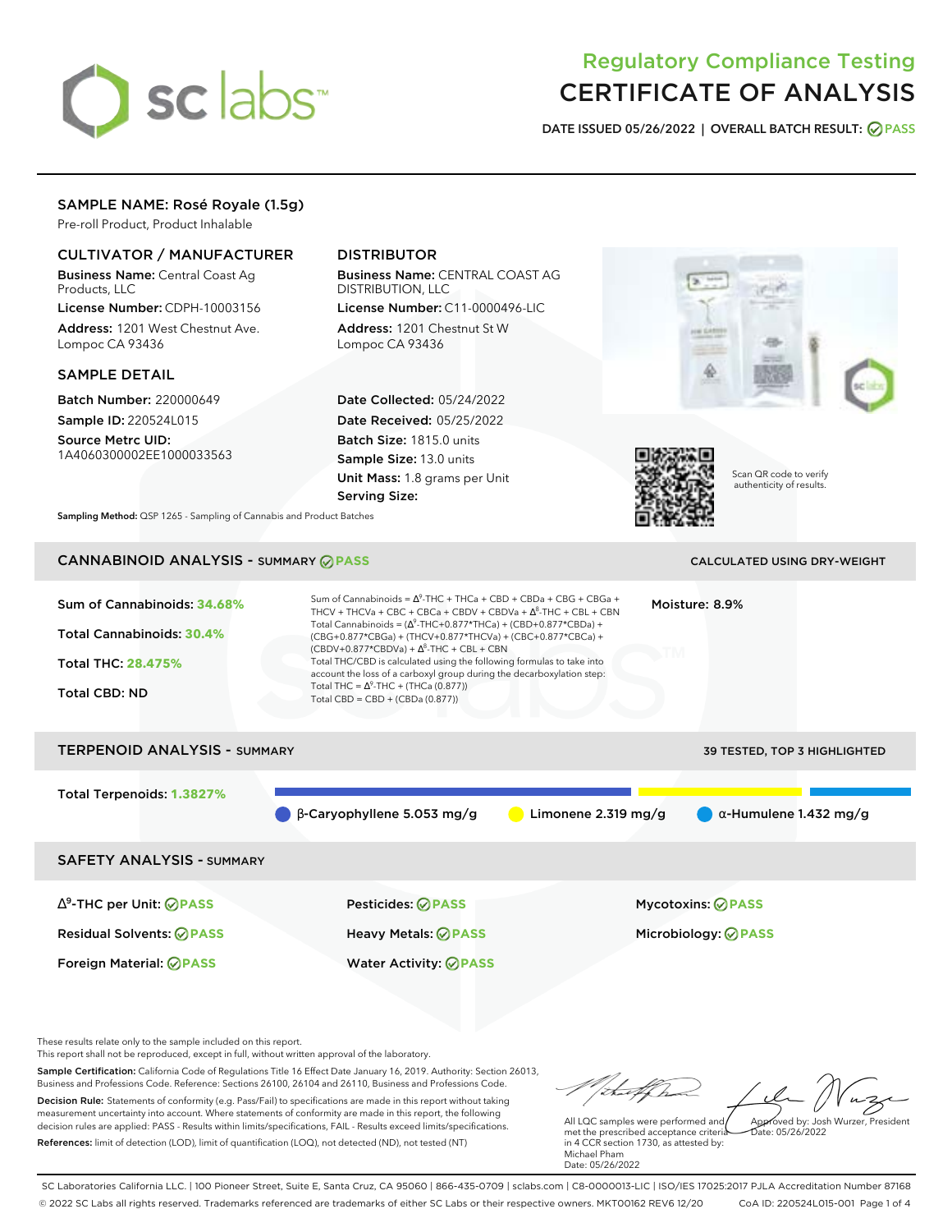# sclabs<sup>\*</sup>

# Regulatory Compliance Testing CERTIFICATE OF ANALYSIS

**DATE ISSUED 05/26/2022 | OVERALL BATCH RESULT: PASS**

# SAMPLE NAME: Rosé Royale (1.5g)

Pre-roll Product, Product Inhalable

# CULTIVATOR / MANUFACTURER

Business Name: Central Coast Ag Products, LLC

License Number: CDPH-10003156 Address: 1201 West Chestnut Ave. Lompoc CA 93436

# SAMPLE DETAIL

Batch Number: 220000649 Sample ID: 220524L015

Source Metrc UID: 1A4060300002EE1000033563

# DISTRIBUTOR

Business Name: CENTRAL COAST AG DISTRIBUTION, LLC License Number: C11-0000496-LIC

Address: 1201 Chestnut St W Lompoc CA 93436

Date Collected: 05/24/2022 Date Received: 05/25/2022 Batch Size: 1815.0 units Sample Size: 13.0 units Unit Mass: 1.8 grams per Unit Serving Size:





Scan QR code to verify authenticity of results.

**Sampling Method:** QSP 1265 - Sampling of Cannabis and Product Batches

# CANNABINOID ANALYSIS - SUMMARY **PASS** CALCULATED USING DRY-WEIGHT

| Sum of Cannabinoids: 34.68%<br>Total Cannabinoids: 30.4%<br>Total THC: 28.475%<br><b>Total CBD: ND</b> | Sum of Cannabinoids = $\Delta^9$ -THC + THCa + CBD + CBDa + CBG + CBGa +<br>THCV + THCVa + CBC + CBCa + CBDV + CBDVa + $\Lambda^8$ -THC + CBL + CBN<br>Total Cannabinoids = $(\Delta^9$ -THC+0.877*THCa) + (CBD+0.877*CBDa) +<br>(CBG+0.877*CBGa) + (THCV+0.877*THCVa) + (CBC+0.877*CBCa) +<br>$(CBDV+0.877*CBDVa) + \Delta^8$ -THC + CBL + CBN<br>Total THC/CBD is calculated using the following formulas to take into<br>account the loss of a carboxyl group during the decarboxylation step:<br>Total THC = $\Delta^9$ -THC + (THCa (0.877))<br>Total CBD = $CBD + (CBDa (0.877))$ |                       | Moisture: 8.9%                                         |                               |  |
|--------------------------------------------------------------------------------------------------------|-----------------------------------------------------------------------------------------------------------------------------------------------------------------------------------------------------------------------------------------------------------------------------------------------------------------------------------------------------------------------------------------------------------------------------------------------------------------------------------------------------------------------------------------------------------------------------------------|-----------------------|--------------------------------------------------------|-------------------------------|--|
| <b>TERPENOID ANALYSIS - SUMMARY</b>                                                                    |                                                                                                                                                                                                                                                                                                                                                                                                                                                                                                                                                                                         |                       |                                                        | 39 TESTED, TOP 3 HIGHLIGHTED  |  |
| Total Terpenoids: 1.3827%                                                                              | $\beta$ -Caryophyllene 5.053 mg/g                                                                                                                                                                                                                                                                                                                                                                                                                                                                                                                                                       | Limonene $2.319$ mg/g |                                                        | $\alpha$ -Humulene 1.432 mg/g |  |
| <b>SAFETY ANALYSIS - SUMMARY</b>                                                                       |                                                                                                                                                                                                                                                                                                                                                                                                                                                                                                                                                                                         |                       |                                                        |                               |  |
| $\Delta^9$ -THC per Unit: $\oslash$ PASS<br><b>Residual Solvents: ⊘PASS</b>                            | <b>Pesticides: ⊘ PASS</b><br>Heavy Metals: @PASS                                                                                                                                                                                                                                                                                                                                                                                                                                                                                                                                        |                       | <b>Mycotoxins: ⊘PASS</b><br>Microbiology: <b>⊘PASS</b> |                               |  |

These results relate only to the sample included on this report.

This report shall not be reproduced, except in full, without written approval of the laboratory.

Sample Certification: California Code of Regulations Title 16 Effect Date January 16, 2019. Authority: Section 26013, Business and Professions Code. Reference: Sections 26100, 26104 and 26110, Business and Professions Code. Decision Rule: Statements of conformity (e.g. Pass/Fail) to specifications are made in this report without taking measurement uncertainty into account. Where statements of conformity are made in this report, the following decision rules are applied: PASS - Results within limits/specifications, FAIL - Results exceed limits/specifications.

Foreign Material: **PASS** Water Activity: **PASS**

References: limit of detection (LOD), limit of quantification (LOQ), not detected (ND), not tested (NT)

Approved by: Josh Wurzer, President

 $hat: 05/26/2022$ 

All LQC samples were performed and met the prescribed acceptance criteria in 4 CCR section 1730, as attested by: Michael Pham Date: 05/26/2022

SC Laboratories California LLC. | 100 Pioneer Street, Suite E, Santa Cruz, CA 95060 | 866-435-0709 | sclabs.com | C8-0000013-LIC | ISO/IES 17025:2017 PJLA Accreditation Number 87168 © 2022 SC Labs all rights reserved. Trademarks referenced are trademarks of either SC Labs or their respective owners. MKT00162 REV6 12/20 CoA ID: 220524L015-001 Page 1 of 4